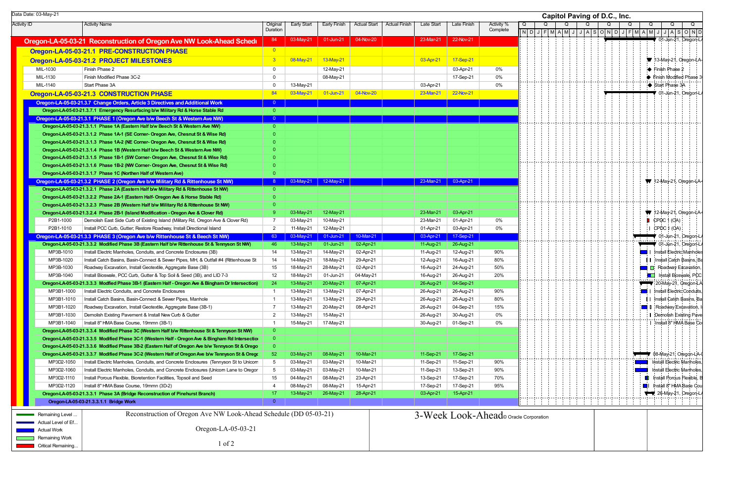| Data Date: 03-May-21  |                                                                                                                                                                        |                            |                        |                          |                     |                      |            |                        |            | <b>Capitol Paving of D.C., Inc.</b>             |
|-----------------------|------------------------------------------------------------------------------------------------------------------------------------------------------------------------|----------------------------|------------------------|--------------------------|---------------------|----------------------|------------|------------------------|------------|-------------------------------------------------|
| <b>Activity ID</b>    | <b>Activity Name</b>                                                                                                                                                   | Original                   | Early Start            | Early Finish             | <b>Actual Start</b> | <b>Actual Finish</b> | Late Start | Late Finish            | Activity % | Q<br>Q                                          |
|                       |                                                                                                                                                                        | Duration                   |                        |                          |                     |                      |            |                        | Complete   | NDJFMAlMJJA8<br>$O N D J F M A M J J A S O N D$ |
|                       | Oregon-LA-05-03-21 Reconstruction of Oregon Ave NW Look-Ahead Schedi                                                                                                   | 84                         | 03-May-21              | 01-Jun-21                | 04-Nov-20           |                      | 23-Mar-21  | 22-Nov-21              |            | ● 01-Jun-21, Oregon-L                           |
|                       | Oregon-LA-05-03-21.1 PRE-CONSTRUCTION PHASE                                                                                                                            | $\overline{0}$             |                        |                          |                     |                      |            |                        |            |                                                 |
|                       | Oregon-LA-05-03-21.2 PROJECT MILESTONES                                                                                                                                | 3 <sup>1</sup>             | 08-May-21              | $13-Mav-21$              |                     |                      | 03-Apr-21  | 17-Sep-21              |            | 7 13-May-21, Oregon-LA                          |
| MIL-1030              | Finish Phase 2                                                                                                                                                         | $\overline{0}$             |                        | 12-May-21                |                     |                      |            | 03-Apr-21              | 0%         | $\blacktriangleright$ Finish Phase 2            |
| MIL-1130              | Finish Modified Phase 3C-2                                                                                                                                             | $\mathbf 0$                |                        | 08-May-21                |                     |                      |            | 17-Sep-21              | 0%         | Finish Modified Phase:                          |
| MIL-1140              | Start Phase 3A                                                                                                                                                         | $\Omega$                   | 13-May-21              |                          |                     |                      | 03-Apr-21  |                        | 0%         | Start Phase 3A                                  |
|                       | Oregon-LA-05-03-21.3 CONSTRUCTION PHASE                                                                                                                                | 84                         | 03-May-21              | 01-Jun-21                | 04-Nov-20           |                      | 23-Mar-21  | 22-Nov-21              |            | $\blacktriangledown$ 01-Jun-21, Oregon-L/       |
|                       |                                                                                                                                                                        |                            |                        |                          |                     |                      |            |                        |            |                                                 |
|                       | Oregon-LA-05-03-21.3.7 Change Orders, Article 3 Directives and Additional Work                                                                                         | $\overline{0}$             |                        |                          |                     |                      |            |                        |            |                                                 |
|                       | Oregon-LA-05-03-21.3.7.1 Emergency Resurfacing b/w Military Rd & Horse Stable Rd                                                                                       | $\overline{0}$<br>$\Omega$ |                        |                          |                     |                      |            |                        |            |                                                 |
|                       | Oregon-LA-05-03-21.3.1 PHASE 1 (Oregon Ave b/w Beech St & Western Ave NW)                                                                                              | $\overline{0}$             |                        |                          |                     |                      |            |                        |            |                                                 |
|                       | Oregon-LA-05-03-21.3.1.1 Phase 1A (Eastern Half b/w Beech St & Western Ave NW)                                                                                         | $\Omega$                   |                        |                          |                     |                      |            |                        |            |                                                 |
|                       | Oregon-LA-05-03-21.3.1.2 Phase 1A-1 (SE Corner- Oregon Ave, Chesnut St & Wise Rd)<br>Oregon-LA-05-03-21.3.1.3 Phase 1A-2 (NE Corner- Oregon Ave, Chesnut St & Wise Rd) |                            |                        |                          |                     |                      |            |                        |            |                                                 |
|                       |                                                                                                                                                                        | $\Omega$                   |                        |                          |                     |                      |            |                        |            |                                                 |
|                       | Oregon-LA-05-03-21.3.1.4 Phase 1B (Western Half b/w Beech St & Western Ave NW)                                                                                         |                            |                        |                          |                     |                      |            |                        |            |                                                 |
|                       | Oregon-LA-05-03-21.3.1.5 Phase 1B-1 (SW Corner- Oregon Ave, Chesnut St & Wise Rd)<br>Oregon-LA-05-03-21.3.1.6 Phase 1B-2 (NW Corner- Oregon Ave, Chesnut St & Wise Rd) |                            |                        |                          |                     |                      |            |                        |            |                                                 |
|                       |                                                                                                                                                                        | $\Omega$                   |                        |                          |                     |                      |            |                        |            |                                                 |
|                       | Oregon-LA-05-03-21.3.1.7 Phase 1C (Northen Half of Western Ave)<br>Oregon-LA-05-03-21.3.2 PHASE 2 (Oregon Ave b/w Military Rd & Rittenhouse St NW)                     |                            |                        | $03$ -May-21   12-May-21 |                     |                      |            | 23-Mar-21   03-Apr-21  |            | 12-May-21, Oregon-LA-                           |
|                       | Oregon-LA-05-03-21.3.2.1 Phase 2A (Eastern Half b/w Military Rd & Rittenhouse St NW)                                                                                   | $\overline{0}$             |                        |                          |                     |                      |            |                        |            |                                                 |
|                       | Oregon-LA-05-03-21.3.2.2 Phase 2A-1 (Eastern Half- Oregon Ave & Horse Stable Rd)                                                                                       | -0                         |                        |                          |                     |                      |            |                        |            |                                                 |
|                       |                                                                                                                                                                        |                            |                        |                          |                     |                      |            |                        |            |                                                 |
|                       | Oregon-LA-05-03-21.3.2.3 Phase 2B (Western Half b/w Military Rd & Rittenhouse St NW)                                                                                   | -9                         |                        |                          |                     |                      | 23-Mar-21  |                        |            | 12-May-21, Oregon-LA                            |
| P2B1-1000             | Oregon-LA-05-03-21.3.2.4 Phase 2B-1 (Island Modification - Oregon Ave & Clover Rd)<br>Demolish East Side Curb of Existing Island (Military Rd, Oregon Ave & Clover Rd) |                            | 03-May-21<br>03-May-21 | 12-May-21<br>10-May-21   |                     |                      | 23-Mar-21  | 03-Apr-21<br>01-Apr-21 | 0%         | CPDC 1 (OA)                                     |
| P2B1-1010             | Install PCC Curb, Gutter; Restore Roadway, Install Directional Island                                                                                                  | $\overline{2}$             |                        | 12-May-21                |                     |                      | 01-Apr-21  | 03-Apr-21              | 0%         | CPDC 1 (OA)                                     |
|                       | Oregon-LA-05-03-21.3.3 PHASE 3 (Oregon Ave b/w Rittenhouse St & Beech St NW)                                                                                           | 63                         | 11-May-21<br>03-May-21 | 01-Jun-21                | 10-Mar-21           |                      | 03-Apr-21  | 17-Sep-21              |            | $\blacktriangledown$ 01-Jun-21, Oregon-L        |
|                       | Oregon-LA-05-03-21.3.3.2 Modified Phase 3B (Eastern Half b/w Rittenhouse St & Tennyson St NW)                                                                          | 46                         | 13-May-21              | 01-Jun-21                | 02-Apr-21           |                      | 11-Aug-21  | 26-Aug-21              |            | 01-Jun-21, Oregon-L                             |
| MP3B-1010             | Install Electric Manholes, Conduits, and Concrete Enclosures (3B)                                                                                                      | 14                         | 13-May-21              | 14-May-21                | 02-Apr-21           |                      | 11-Aug-21  | 12-Aug-21              | 90%        | I Install Electric Manholes                     |
| MP3B-1020             | Install Catch Basins, Basin-Connect & Sewer Pipes, MH, & Outfall #4 (Rittenhouse St                                                                                    | 14                         | 14-May-21              | 18-May-21                | 29-Apr-21           |                      | 12-Aug-21  | 16-Aug-21              | 80%        | I Install Catch Basins, Ba                      |
| MP3B-1030             | Roadway Excavation, Install Geotextile, Aggregate Base (3B)                                                                                                            | 15                         | 18-May-21              | 28-May-21                | 02-Apr-21           |                      | 16-Aug-21  | 24-Aug-21              | 50%        | <b>B</b> Roadway Excavation,                    |
| MP3B-1040             | Install Bioswale, PCC Curb, Gutter & Top Soil & Seed (3B), and LID 7-3                                                                                                 | 12                         | 18-May-21              | 01-Jun-21                | 04-May-21           |                      | 16-Aug-21  | 26-Aug-21              | 20%        | <b>THE Install Bioswale, PCC</b>                |
|                       | Oregon-LA-05-03-21.3.3.3 Modfied Phase 3B-1 (Eastern Half - Oregon Ave & Bingham Dr Intersection)                                                                      | 24                         | 13-May-21              | 20-May-21                | 07-Apr-21           |                      | 26-Aug-21  | 04-Sep-21              |            | 7 20-May-21, Oregon-LA                          |
| MP3B1-1000            | Install Electric Conduits, and Concrete Enclosures                                                                                                                     |                            | 13-May-21              | 13-May-21                | 07-Apr-21           |                      | 26-Aug-21  | 26-Aug-21              | 90%        | <b>THE HISTORY E</b> Install Electric Conduits. |
| MP3B1-1010            | Install Catch Basins, Basin-Connect & Sewer Pipes, Manhole                                                                                                             |                            | 13-May-21              | 13-May-21                | 29-Apr-21           |                      | 26-Aug-21  | 26-Aug-21              | 80%        | II Install Catch Basins, Ba                     |
| MP3B1-1020            | Roadway Excavation, Install Geotextile, Aggregate Base (3B-1)                                                                                                          |                            | 13-May-21              | 20-May-21                | 08-Apr-21           |                      | 26-Aug-21  | 04-Sep-21              | 15%        | <b>D</b> Roadway Excavation,                    |
| MP3B1-1030            | Demolish Existing Pavement & Install New Curb & Gutter                                                                                                                 | 2                          | 13-May-21              | 15-May-21                |                     |                      | 26-Aug-21  | 30-Aug-21              | 0%         | Demolish Existing Pave                          |
| MP3B1-1040            | Install 8" HMA Base Course, 19mmn (3B-1)                                                                                                                               | $\overline{1}$             | 15-May-21              | 17-May-21                |                     |                      | 30-Aug-21  | 01-Sep-21              | 0%         | I Install 8" HMA Base Co                        |
|                       | Oregon-LA-05-03-21.3.3.4 Modified Phase 3C (Western Half b/w Rittenhouse St & Tennyson St NW)                                                                          | $\overline{0}$             |                        |                          |                     |                      |            |                        |            |                                                 |
|                       | Oregon-LA-05-03-21.3.3.5 Modified Phase 3C-1 (Western Half - Oregon Ave & Bingham Rd Intersection                                                                      | $\overline{0}$             |                        |                          |                     |                      |            |                        |            |                                                 |
|                       | Oregon-LA-05-03-21.3.3.6 Modified Phase 3B-2 (Eastern Half of Oregon Ave b/w Tennyson St & Orego                                                                       | $\mathbf 0$                |                        |                          |                     |                      |            |                        |            |                                                 |
|                       | Oregon-LA-05-03-21.3.3.7 Modified Phase 3C-2 (Western Half of Oregon Ave b/w Tennyson St & Oregon                                                                      | 52                         | 03-May-21              | 08-May-21                | 10-Mar-21           |                      | 11-Sep-21  | 17-Sep-21              |            | 08-May-21, Oregon-LA-0                          |
| MP3D2-1050            | Install Electric Manholes, Conduits, and Concrete Enclosures (Tennyson St to Unicom                                                                                    | $5\overline{)}$            | 03-May-21              | 03-May-21                | 10-Mar-21           |                      | 11-Sep-21  | 11-Sep-21              | 90%        | Install Electric Manholes                       |
| MP3D2-1060            | Install Electric Manholes, Conduits, and Concrete Enclosures (Unicorn Lane to Oregor                                                                                   | 5                          | 03-May-21              | 03-May-21                | 10-Mar-21           |                      | 11-Sep-21  | 13-Sep-21              | 90%        | Install Electric Manholes                       |
| MP3D2-1110            | Install Porous Flexible, Bioretention Facilities, Topsoil and Seed                                                                                                     | 15                         | 04-May-21              | 08-May-21                | 23-Apr-21           |                      | 13-Sep-21  | 17-Sep-21              | 70%        | Install Porous Flexible, I                      |
| MP3D2-1120            | Install 8" HMA Base Course, 19mmn (3D-2)                                                                                                                               | $\overline{4}$             | 08-May-21              | 08-May-21                | 15-Apr-21           |                      | 17-Sep-21  | 17-Sep-21              | 95%        | <b>T</b> I Install 8" HMA Base Cou              |
|                       | Oregon-LA-05-03-21.3.3.1 Phase 3A (Bridge Reconstruction of Pinehurst Branch)                                                                                          | 17 <sup>2</sup>            | 13-May-21              | 26-May-21                | 28-Apr-21           |                      | 03-Apr-21  | 15-Apr-21              |            | 26-May-21, Oregon-L.                            |
|                       | Oregon-LA-05-03-21.3.3.1.1 Bridge Work                                                                                                                                 | $\overline{0}$             |                        |                          |                     |                      |            |                        |            |                                                 |
|                       |                                                                                                                                                                        |                            |                        |                          |                     |                      |            |                        |            |                                                 |
| Remaining Level.      | Reconstruction of Oregon Ave NW Look-Ahead Schedule (DD 05-03-21)                                                                                                      |                            |                        |                          |                     |                      |            |                        |            | 3-Week Look-Ahead o Oracle Corporation          |
| Actual Level of Ef    |                                                                                                                                                                        |                            |                        |                          |                     |                      |            |                        |            |                                                 |
| Actual Work           | Oregon-LA-05-03-21                                                                                                                                                     |                            |                        |                          |                     |                      |            |                        |            |                                                 |
| <b>Remaining Work</b> |                                                                                                                                                                        |                            |                        |                          |                     |                      |            |                        |            |                                                 |
| Critical Remaining.   | $1$ of $2$                                                                                                                                                             |                            |                        |                          |                     |                      |            |                        |            |                                                 |